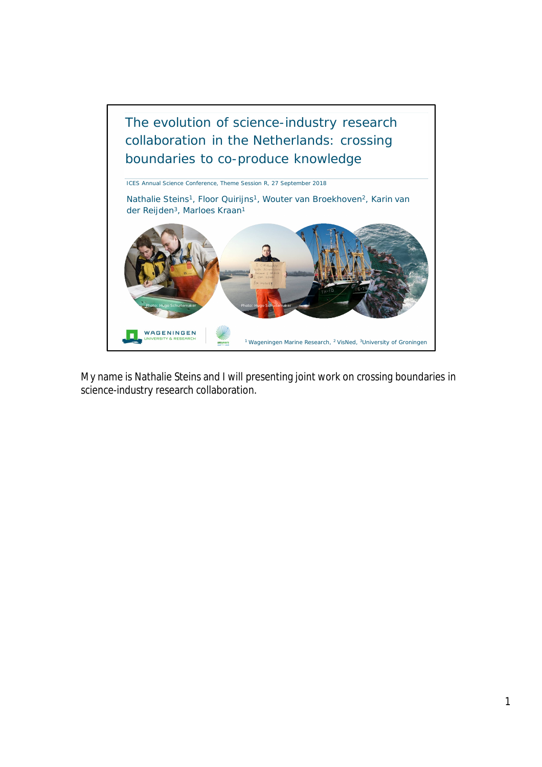

My name is Nathalie Steins and I will presenting joint work on crossing boundaries in science-industry research collaboration.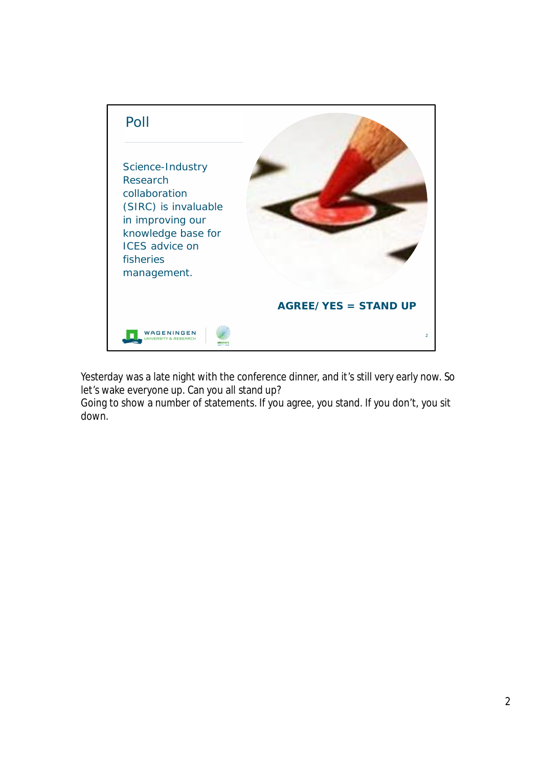

Yesterday was a late night with the conference dinner, and it's still very early now. So let's wake everyone up. Can you all stand up?

Going to show a number of statements. If you agree, you stand. If you don't, you sit down.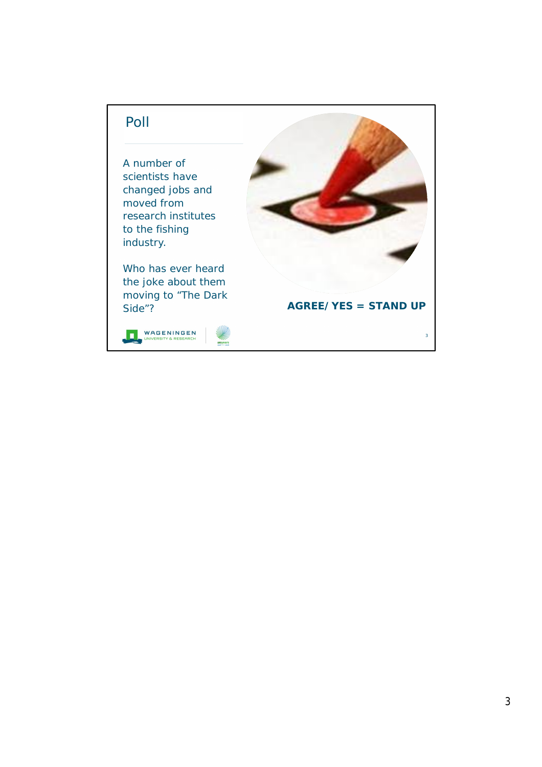## Poll

A number of scientists have changed jobs and moved from research institutes to the fishing industry.

Who has ever heard the joke about them moving to "The Dark Side"?



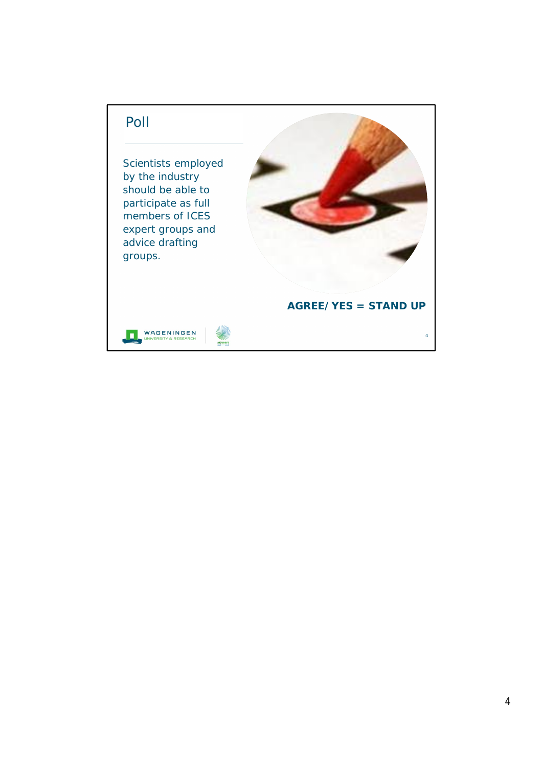## Poll

Scientists employed by the industry should be able to participate as full members of ICES expert groups and advice drafting groups.



## **AGREE/YES = STAND UP**

4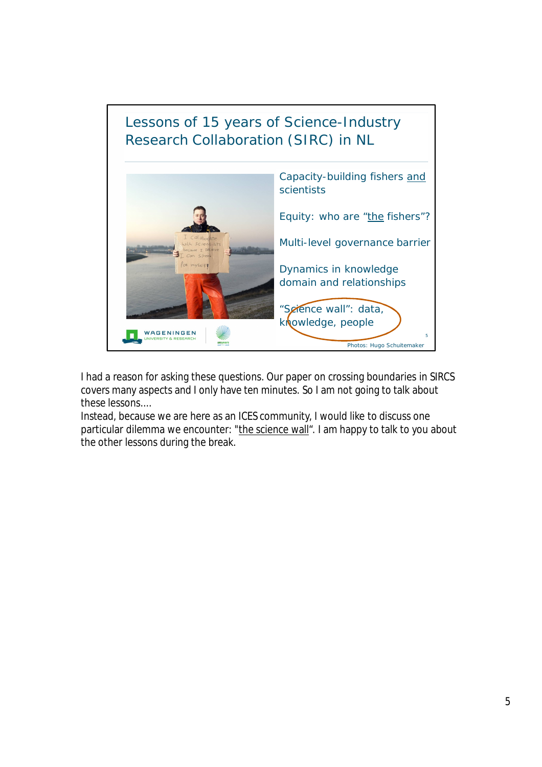

I had a reason for asking these questions. Our paper on crossing boundaries in SIRCS covers many aspects and I only have ten minutes. So I am not going to talk about these lessons....

Instead, because we are here as an ICES community, I would like to discuss one particular dilemma we encounter: "the science wall". I am happy to talk to you about the other lessons during the break.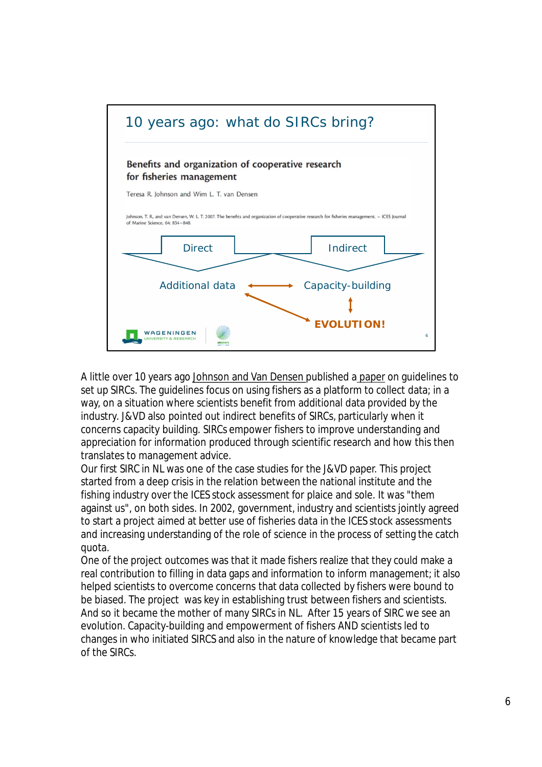

A little over 10 years ago Johnson and Van Densen published a paper on guidelines to set up SIRCs. The guidelines focus on using fishers as a platform to collect data; in a way, on a situation where scientists benefit from additional data provided by the industry. J&VD also pointed out indirect benefits of SIRCs, particularly when it concerns capacity building. SIRCs empower fishers to improve understanding and appreciation for information produced through scientific research and how this then translates to management advice.

Our first SIRC in NL was one of the case studies for the J&VD paper. This project started from a deep crisis in the relation between the national institute and the fishing industry over the ICES stock assessment for plaice and sole. It was "them against us", on both sides. In 2002, government, industry and scientists jointly agreed to start a project aimed at better use of fisheries data in the ICES stock assessments and increasing understanding of the role of science in the process of setting the catch quota.

One of the project outcomes was that it made fishers realize that they could make a real contribution to filling in data gaps and information to inform management; it also helped scientists to overcome concerns that data collected by fishers were bound to be biased. The project was key in establishing trust between fishers and scientists. And so it became the mother of many SIRCs in NL. After 15 years of SIRC we see an evolution. Capacity-building and empowerment of fishers AND scientists led to changes in who initiated SIRCS and also in the nature of knowledge that became part of the SIRCs.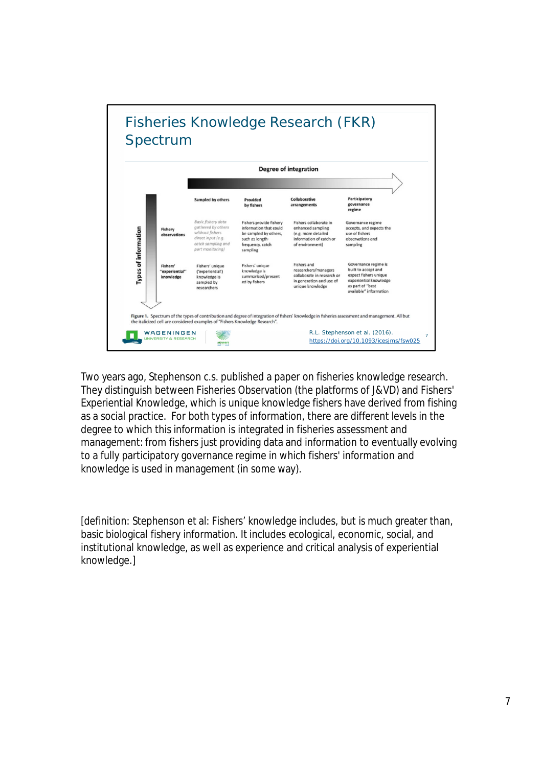

Two years ago, Stephenson c.s. published a paper on fisheries knowledge research. They distinguish between Fisheries Observation (the platforms of J&VD) and Fishers' Experiential Knowledge, which is unique knowledge fishers have derived from fishing as a social practice. For both types of information, there are different levels in the degree to which this information is integrated in fisheries assessment and management: from fishers just providing data and information to eventually evolving to a fully participatory governance regime in which fishers' information and knowledge is used in management (in some way).

[definition: Stephenson et al: Fishers' knowledge includes, but is much greater than, basic biological fishery information. It includes ecological, economic, social, and institutional knowledge, as well as experience and critical analysis of experiential knowledge.]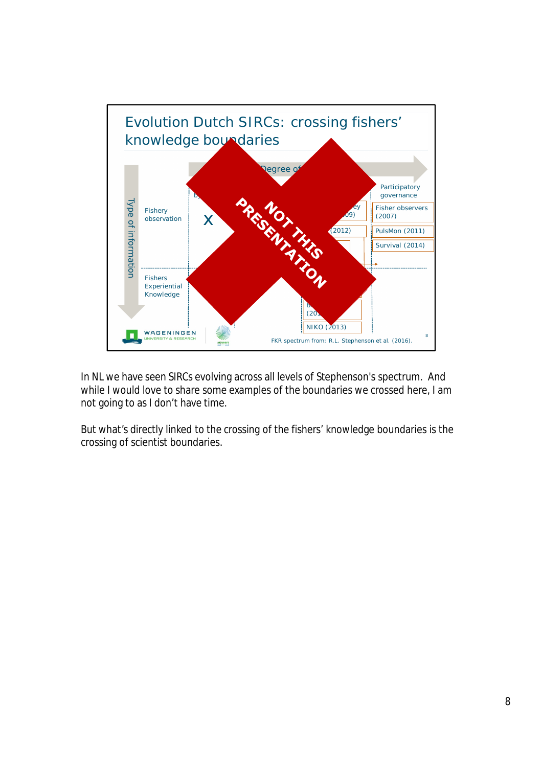

In NL we have seen SIRCs evolving across all levels of Stephenson's spectrum. And while I would love to share some examples of the boundaries we crossed here, I am not going to as I don't have time.

But what's directly linked to the crossing of the fishers' knowledge boundaries is the crossing of scientist boundaries.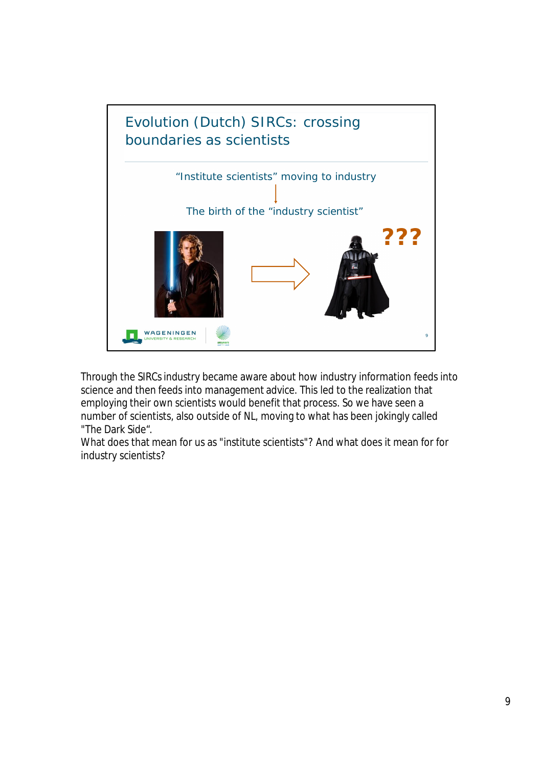

Through the SIRCs industry became aware about how industry information feeds into science and then feeds into management advice. This led to the realization that employing their own scientists would benefit that process. So we have seen a number of scientists, also outside of NL, moving to what has been jokingly called "The Dark Side".

What does that mean for us as "institute scientists"? And what does it mean for for industry scientists?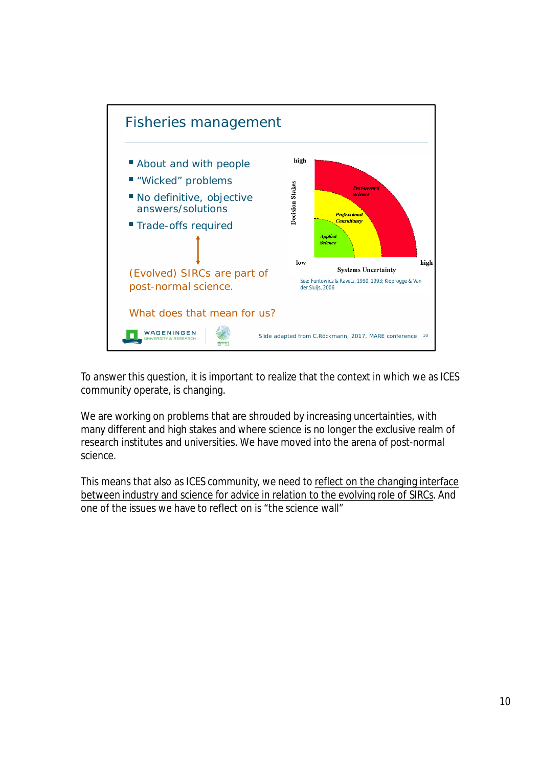

To answer this question, it is important to realize that the context in which we as ICES community operate, is changing.

We are working on problems that are shrouded by increasing uncertainties, with many different and high stakes and where science is no longer the exclusive realm of research institutes and universities. We have moved into the arena of post-normal science.

This means that also as ICES community, we need to reflect on the changing interface between industry and science for advice in relation to the evolving role of SIRCs. And one of the issues we have to reflect on is "the science wall"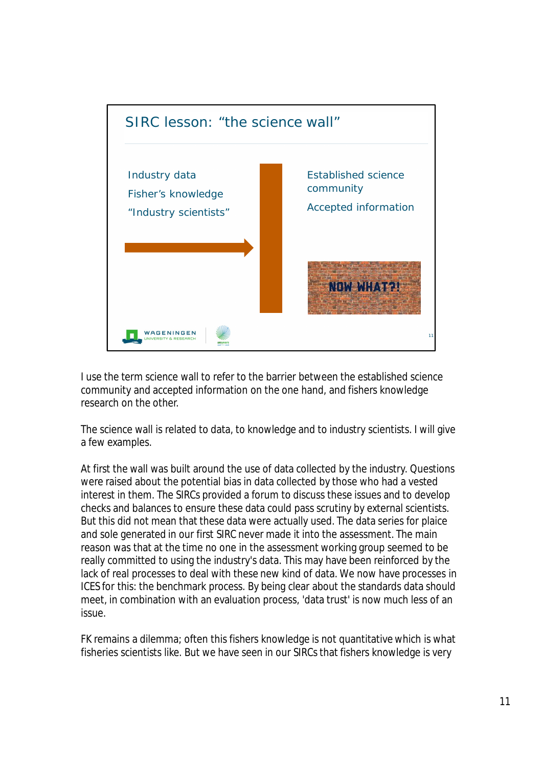

I use the term science wall to refer to the barrier between the established science community and accepted information on the one hand, and fishers knowledge research on the other.

The science wall is related to data, to knowledge and to industry scientists. I will give a few examples.

At first the wall was built around the use of data collected by the industry. Questions were raised about the potential bias in data collected by those who had a vested interest in them. The SIRCs provided a forum to discuss these issues and to develop checks and balances to ensure these data could pass scrutiny by external scientists. But this did not mean that these data were actually used. The data series for plaice and sole generated in our first SIRC never made it into the assessment. The main reason was that at the time no one in the assessment working group seemed to be really committed to using the industry's data. This may have been reinforced by the lack of real processes to deal with these new kind of data. We now have processes in ICES for this: the benchmark process. By being clear about the standards data should meet, in combination with an evaluation process, 'data trust' is now much less of an issue.

FK remains a dilemma; often this fishers knowledge is not quantitative which is what fisheries scientists like. But we have seen in our SIRCs that fishers knowledge is very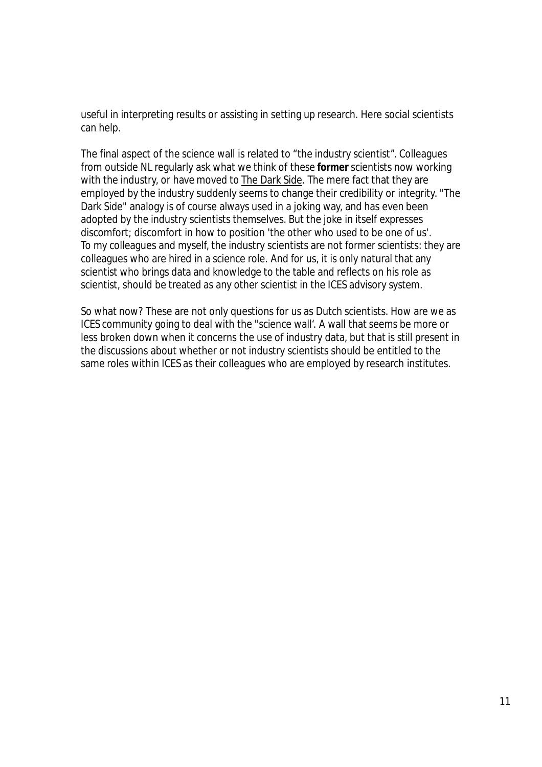useful in interpreting results or assisting in setting up research. Here social scientists can help.

The final aspect of the science wall is related to "the industry scientist". Colleagues from outside NL regularly ask what we think of these *former* scientists now working with the industry, or have moved to The Dark Side. The mere fact that they are employed by the industry suddenly seems to change their credibility or integrity. "The Dark Side" analogy is of course always used in a joking way, and has even been adopted by the industry scientists themselves. But the joke in itself expresses discomfort; discomfort in how to position 'the other who used to be one of us'. To my colleagues and myself, the industry scientists are not *former* scientists: they are colleagues who are hired in a science role. And for us, it is only natural that any scientist who brings data and knowledge to the table and reflects on his role as scientist, should be treated as any other scientist in the ICES advisory system.

So what now? These are not only questions for us as Dutch scientists. How are we as ICES community going to deal with the "science wall'. A wall that seems be more or less broken down when it concerns the use of industry data, but that is still present in the discussions about whether or not industry scientists should be entitled to the same roles within ICES as their colleagues who are employed by research institutes.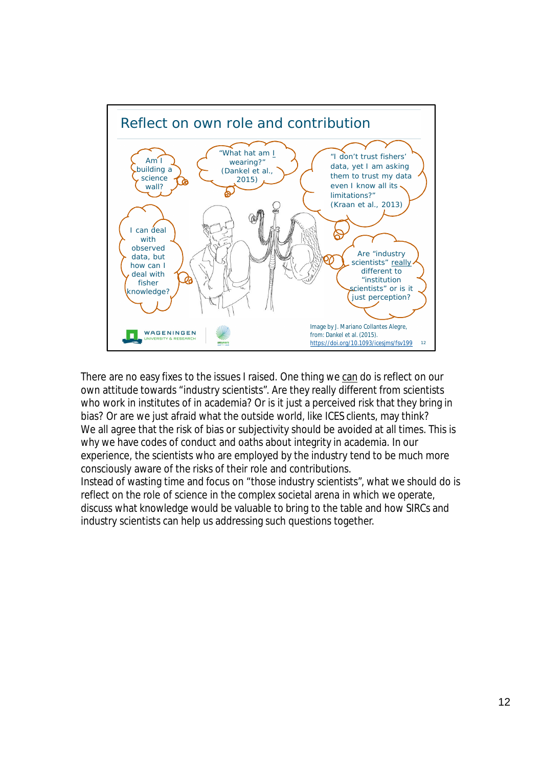

There are no easy fixes to the issues I raised. One thing we can do is reflect on our own attitude towards "industry scientists". Are they really different from scientists who work in institutes of in academia? Or is it just a perceived risk that they bring in bias? Or are we just afraid what the outside world, like ICES clients, may think? We all agree that the risk of bias or subjectivity should be avoided at all times. This is why we have codes of conduct and oaths about integrity in academia. In our experience, the scientists who are employed by the industry tend to be much more consciously aware of the risks of their role and contributions. Instead of wasting time and focus on "those industry scientists", what we should do is reflect on the role of science in the complex societal arena in which we operate, discuss what knowledge would be valuable to bring to the table and how SIRCs and industry scientists can help us addressing such questions together.